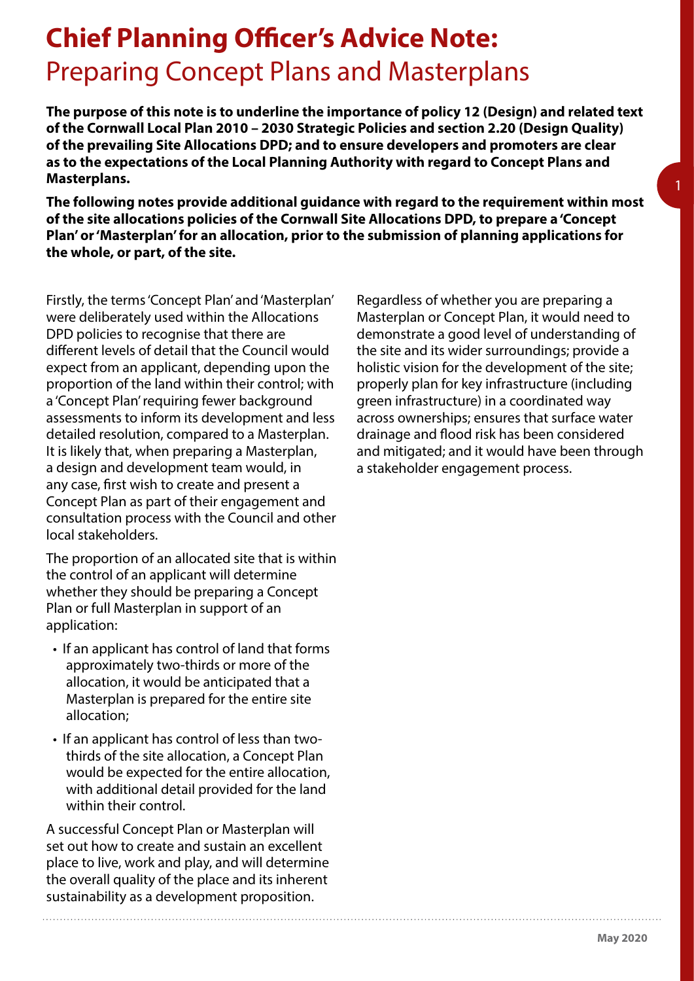## **Chief Planning Officer's Advice Note:** Preparing Concept Plans and Masterplans

**The purpose of this note is to underline the importance of policy 12 (Design) and related text of the Cornwall Local Plan 2010 – 2030 Strategic Policies and section 2.20 (Design Quality) of the prevailing Site Allocations DPD; and to ensure developers and promoters are clear as to the expectations of the Local Planning Authority with regard to Concept Plans and Masterplans.**

**The following notes provide additional guidance with regard to the requirement within most of the site allocations policies of the Cornwall Site Allocations DPD, to prepare a 'Concept Plan' or 'Masterplan' for an allocation, prior to the submission of planning applications for the whole, or part, of the site.**

Firstly, the terms 'Concept Plan' and 'Masterplan' were deliberately used within the Allocations DPD policies to recognise that there are different levels of detail that the Council would expect from an applicant, depending upon the proportion of the land within their control; with a 'Concept Plan' requiring fewer background assessments to inform its development and less detailed resolution, compared to a Masterplan. It is likely that, when preparing a Masterplan, a design and development team would, in any case, first wish to create and present a Concept Plan as part of their engagement and consultation process with the Council and other local stakeholders.

The proportion of an allocated site that is within the control of an applicant will determine whether they should be preparing a Concept Plan or full Masterplan in support of an application:

- If an applicant has control of land that forms approximately two-thirds or more of the allocation, it would be anticipated that a Masterplan is prepared for the entire site allocation;
- If an applicant has control of less than twothirds of the site allocation, a Concept Plan would be expected for the entire allocation, with additional detail provided for the land within their control.

A successful Concept Plan or Masterplan will set out how to create and sustain an excellent place to live, work and play, and will determine the overall quality of the place and its inherent sustainability as a development proposition.

Regardless of whether you are preparing a Masterplan or Concept Plan, it would need to demonstrate a good level of understanding of the site and its wider surroundings; provide a holistic vision for the development of the site; properly plan for key infrastructure (including green infrastructure) in a coordinated way across ownerships; ensures that surface water drainage and flood risk has been considered and mitigated; and it would have been through a stakeholder engagement process.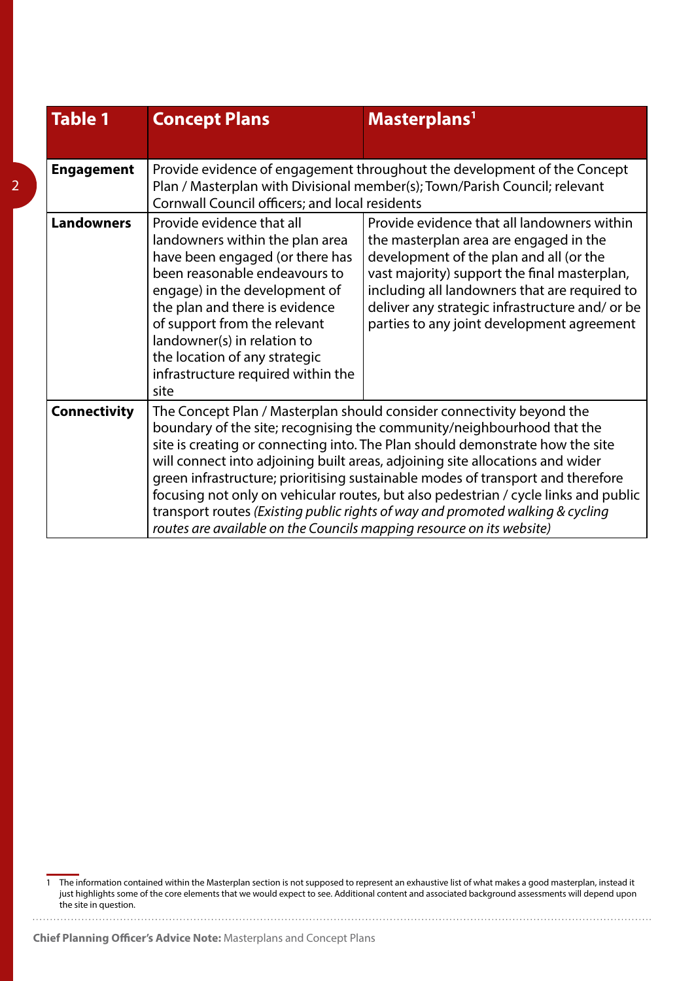| <b>Table 1</b>      | <b>Concept Plans</b>                                                                                                                                                                                                                                                                                                                                                                                                                                                                                                                                                                                                                                   | Masterplans <sup>1</sup>                                                                                                                                                                                                                                                                                                           |
|---------------------|--------------------------------------------------------------------------------------------------------------------------------------------------------------------------------------------------------------------------------------------------------------------------------------------------------------------------------------------------------------------------------------------------------------------------------------------------------------------------------------------------------------------------------------------------------------------------------------------------------------------------------------------------------|------------------------------------------------------------------------------------------------------------------------------------------------------------------------------------------------------------------------------------------------------------------------------------------------------------------------------------|
| <b>Engagement</b>   | Provide evidence of engagement throughout the development of the Concept<br>Plan / Masterplan with Divisional member(s); Town/Parish Council; relevant<br>Cornwall Council officers; and local residents                                                                                                                                                                                                                                                                                                                                                                                                                                               |                                                                                                                                                                                                                                                                                                                                    |
| <b>Landowners</b>   | Provide evidence that all<br>landowners within the plan area<br>have been engaged (or there has<br>been reasonable endeavours to<br>engage) in the development of<br>the plan and there is evidence<br>of support from the relevant<br>landowner(s) in relation to<br>the location of any strategic<br>infrastructure required within the<br>site                                                                                                                                                                                                                                                                                                      | Provide evidence that all landowners within<br>the masterplan area are engaged in the<br>development of the plan and all (or the<br>vast majority) support the final masterplan,<br>including all landowners that are required to<br>deliver any strategic infrastructure and/ or be<br>parties to any joint development agreement |
| <b>Connectivity</b> | The Concept Plan / Masterplan should consider connectivity beyond the<br>boundary of the site; recognising the community/neighbourhood that the<br>site is creating or connecting into. The Plan should demonstrate how the site<br>will connect into adjoining built areas, adjoining site allocations and wider<br>green infrastructure; prioritising sustainable modes of transport and therefore<br>focusing not only on vehicular routes, but also pedestrian / cycle links and public<br>transport routes (Existing public rights of way and promoted walking & cycling<br>routes are available on the Councils mapping resource on its website) |                                                                                                                                                                                                                                                                                                                                    |

The information contained within the Masterplan section is not supposed to represent an exhaustive list of what makes a good masterplan, instead it just highlights some of the core elements that we would expect to see. Additional content and associated background assessments will depend upon the site in question.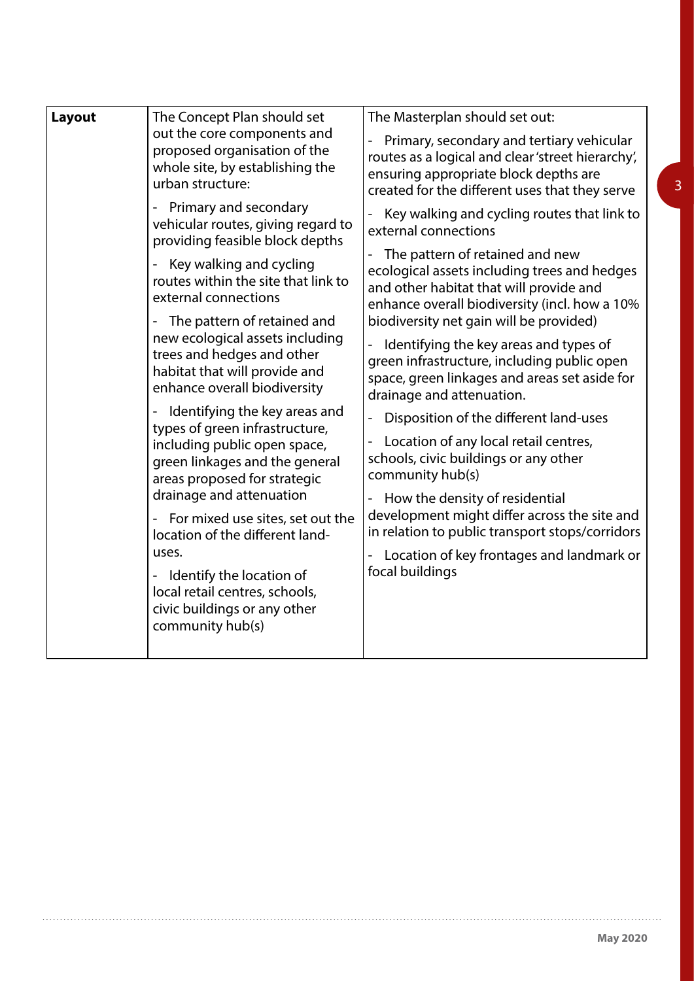| Layout | The Concept Plan should set                                                                                                                                                                                                                                                                                                                                    | The Masterplan should set out:                                                                                                                                                                                                                                                                                                                                                                                                                                                                                                                                                                  |
|--------|----------------------------------------------------------------------------------------------------------------------------------------------------------------------------------------------------------------------------------------------------------------------------------------------------------------------------------------------------------------|-------------------------------------------------------------------------------------------------------------------------------------------------------------------------------------------------------------------------------------------------------------------------------------------------------------------------------------------------------------------------------------------------------------------------------------------------------------------------------------------------------------------------------------------------------------------------------------------------|
|        | out the core components and<br>proposed organisation of the<br>whole site, by establishing the<br>urban structure:                                                                                                                                                                                                                                             | Primary, secondary and tertiary vehicular<br>routes as a logical and clear 'street hierarchy',<br>ensuring appropriate block depths are<br>created for the different uses that they serve                                                                                                                                                                                                                                                                                                                                                                                                       |
|        | Primary and secondary<br>vehicular routes, giving regard to<br>providing feasible block depths                                                                                                                                                                                                                                                                 | Key walking and cycling routes that link to<br>external connections                                                                                                                                                                                                                                                                                                                                                                                                                                                                                                                             |
|        | Key walking and cycling<br>routes within the site that link to<br>external connections                                                                                                                                                                                                                                                                         | The pattern of retained and new<br>ecological assets including trees and hedges<br>and other habitat that will provide and<br>enhance overall biodiversity (incl. how a 10%                                                                                                                                                                                                                                                                                                                                                                                                                     |
|        | The pattern of retained and<br>$\overline{\phantom{0}}$<br>new ecological assets including<br>trees and hedges and other<br>habitat that will provide and<br>enhance overall biodiversity<br>Identifying the key areas and<br>types of green infrastructure,<br>including public open space,<br>green linkages and the general<br>areas proposed for strategic | biodiversity net gain will be provided)<br>Identifying the key areas and types of<br>green infrastructure, including public open<br>space, green linkages and areas set aside for<br>drainage and attenuation.<br>Disposition of the different land-uses<br>$\overline{\phantom{0}}$<br>Location of any local retail centres,<br>schools, civic buildings or any other<br>community hub(s)<br>How the density of residential<br>development might differ across the site and<br>in relation to public transport stops/corridors<br>Location of key frontages and landmark or<br>focal buildings |
|        |                                                                                                                                                                                                                                                                                                                                                                |                                                                                                                                                                                                                                                                                                                                                                                                                                                                                                                                                                                                 |
|        |                                                                                                                                                                                                                                                                                                                                                                |                                                                                                                                                                                                                                                                                                                                                                                                                                                                                                                                                                                                 |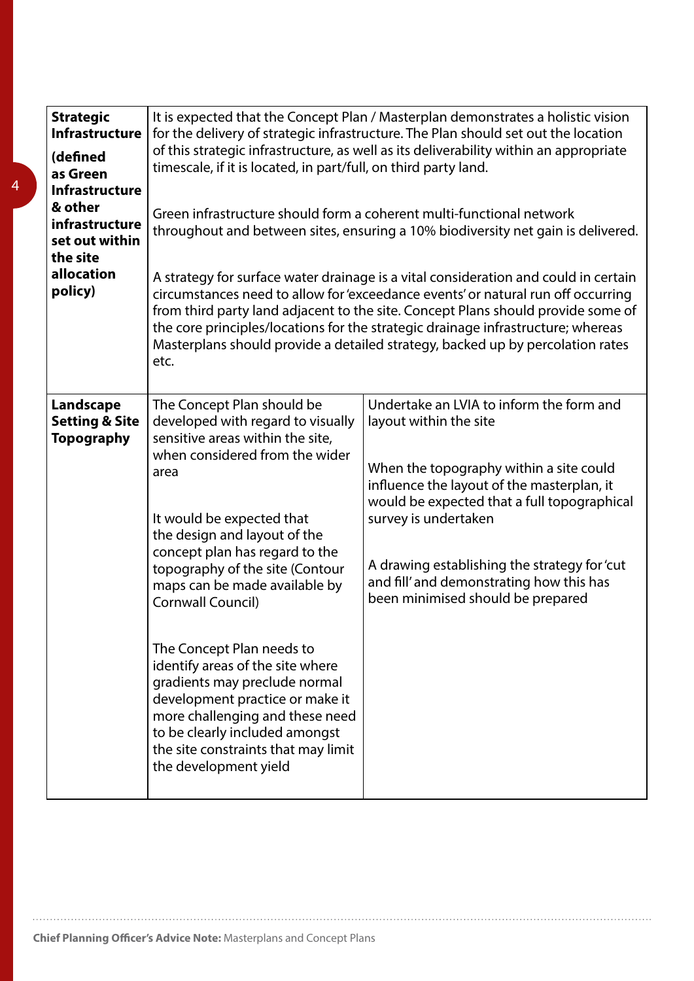| <b>Strategic</b><br><b>Infrastructure</b><br>(defined<br>as Green<br><b>Infrastructure</b><br>& other<br>infrastructure<br>set out within<br>the site<br>allocation<br>policy) | It is expected that the Concept Plan / Masterplan demonstrates a holistic vision<br>for the delivery of strategic infrastructure. The Plan should set out the location<br>of this strategic infrastructure, as well as its deliverability within an appropriate<br>timescale, if it is located, in part/full, on third party land.<br>Green infrastructure should form a coherent multi-functional network<br>throughout and between sites, ensuring a 10% biodiversity net gain is delivered.<br>A strategy for surface water drainage is a vital consideration and could in certain<br>circumstances need to allow for 'exceedance events' or natural run off occurring<br>from third party land adjacent to the site. Concept Plans should provide some of<br>the core principles/locations for the strategic drainage infrastructure; whereas<br>Masterplans should provide a detailed strategy, backed up by percolation rates<br>etc. |                                                                                                                                                                                                                                                                                                                                                                     |
|--------------------------------------------------------------------------------------------------------------------------------------------------------------------------------|---------------------------------------------------------------------------------------------------------------------------------------------------------------------------------------------------------------------------------------------------------------------------------------------------------------------------------------------------------------------------------------------------------------------------------------------------------------------------------------------------------------------------------------------------------------------------------------------------------------------------------------------------------------------------------------------------------------------------------------------------------------------------------------------------------------------------------------------------------------------------------------------------------------------------------------------|---------------------------------------------------------------------------------------------------------------------------------------------------------------------------------------------------------------------------------------------------------------------------------------------------------------------------------------------------------------------|
| Landscape<br><b>Setting &amp; Site</b><br><b>Topography</b>                                                                                                                    | The Concept Plan should be<br>developed with regard to visually<br>sensitive areas within the site,<br>when considered from the wider<br>area<br>It would be expected that<br>the design and layout of the<br>concept plan has regard to the<br>topography of the site (Contour<br>maps can be made available by<br>Cornwall Council)<br>The Concept Plan needs to<br>identify areas of the site where<br>gradients may preclude normal<br>development practice or make it<br>more challenging and these need<br>to be clearly included amongst<br>the site constraints that may limit<br>the development yield                                                                                                                                                                                                                                                                                                                             | Undertake an LVIA to inform the form and<br>layout within the site<br>When the topography within a site could<br>influence the layout of the masterplan, it<br>would be expected that a full topographical<br>survey is undertaken<br>A drawing establishing the strategy for 'cut<br>and fill' and demonstrating how this has<br>been minimised should be prepared |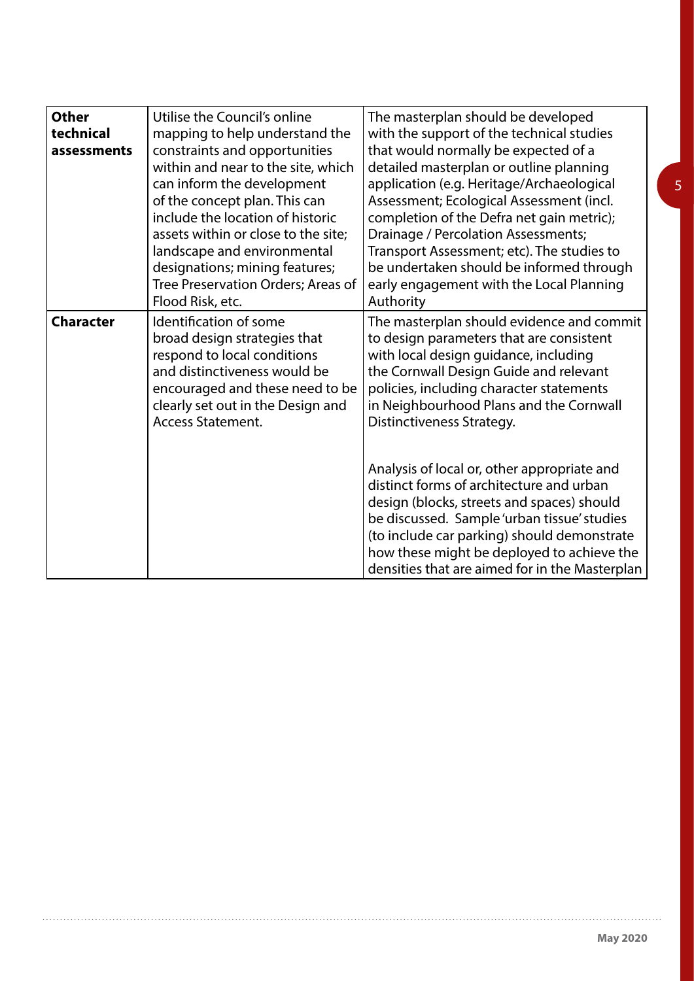| <b>Other</b><br>technical<br>assessments | Utilise the Council's online<br>mapping to help understand the<br>constraints and opportunities<br>within and near to the site, which<br>can inform the development<br>of the concept plan. This can<br>include the location of historic<br>assets within or close to the site;<br>landscape and environmental<br>designations; mining features;<br>Tree Preservation Orders; Areas of<br>Flood Risk, etc. | The masterplan should be developed<br>with the support of the technical studies<br>that would normally be expected of a<br>detailed masterplan or outline planning<br>application (e.g. Heritage/Archaeological<br>Assessment; Ecological Assessment (incl.<br>completion of the Defra net gain metric);<br><b>Drainage / Percolation Assessments;</b><br>Transport Assessment; etc). The studies to<br>be undertaken should be informed through<br>early engagement with the Local Planning<br>Authority                                                                                                                           |
|------------------------------------------|------------------------------------------------------------------------------------------------------------------------------------------------------------------------------------------------------------------------------------------------------------------------------------------------------------------------------------------------------------------------------------------------------------|-------------------------------------------------------------------------------------------------------------------------------------------------------------------------------------------------------------------------------------------------------------------------------------------------------------------------------------------------------------------------------------------------------------------------------------------------------------------------------------------------------------------------------------------------------------------------------------------------------------------------------------|
| <b>Character</b>                         | Identification of some<br>broad design strategies that<br>respond to local conditions<br>and distinctiveness would be<br>encouraged and these need to be<br>clearly set out in the Design and<br><b>Access Statement.</b>                                                                                                                                                                                  | The masterplan should evidence and commit<br>to design parameters that are consistent<br>with local design guidance, including<br>the Cornwall Design Guide and relevant<br>policies, including character statements<br>in Neighbourhood Plans and the Cornwall<br>Distinctiveness Strategy.<br>Analysis of local or, other appropriate and<br>distinct forms of architecture and urban<br>design (blocks, streets and spaces) should<br>be discussed. Sample 'urban tissue' studies<br>(to include car parking) should demonstrate<br>how these might be deployed to achieve the<br>densities that are aimed for in the Masterplan |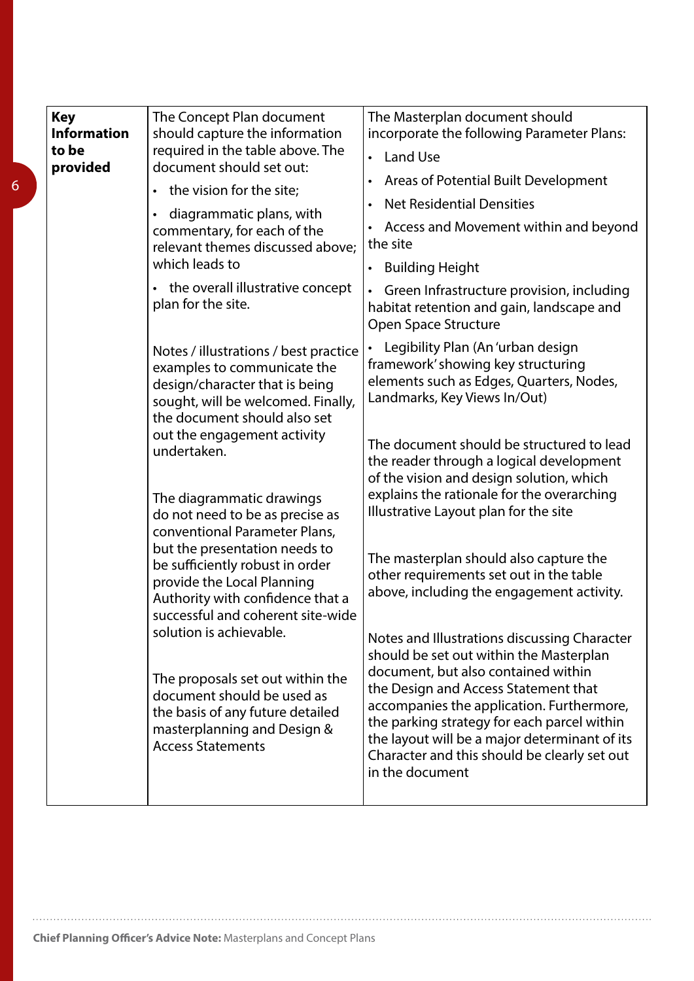| <b>Key</b><br><b>Information</b><br>to be<br>provided | The Concept Plan document<br>should capture the information<br>required in the table above. The<br>document should set out:<br>• the vision for the site;<br>diagrammatic plans, with<br>$\bullet$<br>commentary, for each of the<br>relevant themes discussed above;<br>which leads to<br>the overall illustrative concept<br>$\bullet$          | The Masterplan document should<br>incorporate the following Parameter Plans:<br><b>Land Use</b><br>$\bullet$<br>Areas of Potential Built Development<br>$\bullet$<br><b>Net Residential Densities</b><br>$\bullet$<br>Access and Movement within and beyond<br>the site<br><b>Building Height</b><br>$\bullet$ |
|-------------------------------------------------------|---------------------------------------------------------------------------------------------------------------------------------------------------------------------------------------------------------------------------------------------------------------------------------------------------------------------------------------------------|----------------------------------------------------------------------------------------------------------------------------------------------------------------------------------------------------------------------------------------------------------------------------------------------------------------|
|                                                       | plan for the site.                                                                                                                                                                                                                                                                                                                                | Green Infrastructure provision, including<br>$\bullet$<br>habitat retention and gain, landscape and<br>Open Space Structure                                                                                                                                                                                    |
|                                                       | Notes / illustrations / best practice<br>examples to communicate the<br>design/character that is being<br>sought, will be welcomed. Finally,<br>the document should also set                                                                                                                                                                      | Legibility Plan (An 'urban design<br>$\bullet$<br>framework' showing key structuring<br>elements such as Edges, Quarters, Nodes,<br>Landmarks, Key Views In/Out)                                                                                                                                               |
|                                                       | out the engagement activity<br>undertaken.<br>The diagrammatic drawings<br>do not need to be as precise as<br>conventional Parameter Plans,<br>but the presentation needs to<br>be sufficiently robust in order<br>provide the Local Planning<br>Authority with confidence that a<br>successful and coherent site-wide<br>solution is achievable. | The document should be structured to lead<br>the reader through a logical development<br>of the vision and design solution, which<br>explains the rationale for the overarching                                                                                                                                |
|                                                       |                                                                                                                                                                                                                                                                                                                                                   | Illustrative Layout plan for the site<br>The masterplan should also capture the                                                                                                                                                                                                                                |
|                                                       |                                                                                                                                                                                                                                                                                                                                                   | other requirements set out in the table<br>above, including the engagement activity.                                                                                                                                                                                                                           |
|                                                       |                                                                                                                                                                                                                                                                                                                                                   | Notes and Illustrations discussing Character<br>should be set out within the Masterplan<br>document, but also contained within                                                                                                                                                                                 |
|                                                       | The proposals set out within the<br>document should be used as<br>the basis of any future detailed<br>masterplanning and Design &<br><b>Access Statements</b>                                                                                                                                                                                     | the Design and Access Statement that<br>accompanies the application. Furthermore,<br>the parking strategy for each parcel within<br>the layout will be a major determinant of its<br>Character and this should be clearly set out<br>in the document                                                           |

6